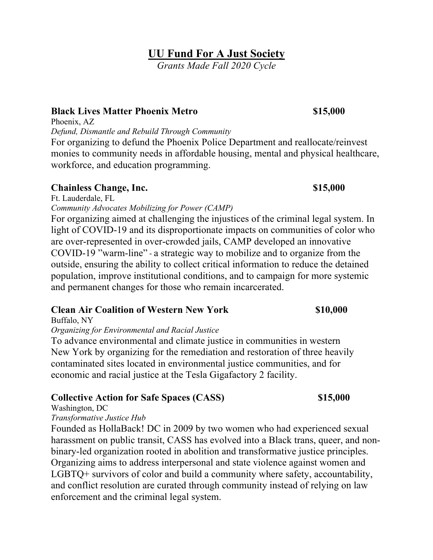## **UU Fund For A Just Society**

*Grants Made Fall 2020 Cycle*

### **Black Lives Matter Phoenix Metro \$15,000**

Phoenix, AZ

*Defund, Dismantle and Rebuild Through Community*

For organizing to defund the Phoenix Police Department and reallocate/reinvest monies to community needs in affordable housing, mental and physical healthcare, workforce, and education programming.

### **Chainless Change, Inc. \$15,000**

Ft. Lauderdale, FL

*Community Advocates Mobilizing for Power (CAMP)*

For organizing aimed at challenging the injustices of the criminal legal system. In light of COVID-19 and its disproportionate impacts on communities of color who are over-represented in over-crowded jails, CAMP developed an innovative COVID-19 "warm-line" - a strategic way to mobilize and to organize from the outside, ensuring the ability to collect critical information to reduce the detained population, improve institutional conditions, and to campaign for more systemic and permanent changes for those who remain incarcerated.

## **Clean Air Coalition of Western New York \$10,000**

Buffalo, NY

*Organizing for Environmental and Racial Justice*

To advance environmental and climate justice in communities in western New York by organizing for the remediation and restoration of three heavily contaminated sites located in environmental justice communities, and for economic and racial justice at the Tesla Gigafactory 2 facility.

## **Collective Action for Safe Spaces (CASS) \$15,000**

Washington, DC

### *Transformative Justice Hub*

Founded as HollaBack! DC in 2009 by two women who had experienced sexual harassment on public transit, CASS has evolved into a Black trans, queer, and nonbinary-led organization rooted in abolition and transformative justice principles. Organizing aims to address interpersonal and state violence against women and LGBTQ+ survivors of color and build a community where safety, accountability, and conflict resolution are curated through community instead of relying on law enforcement and the criminal legal system.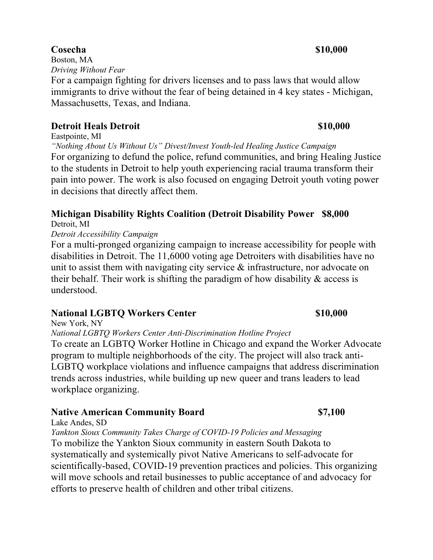## **Cosecha** \$10,000

Boston, MA *Driving Without Fear*

For a campaign fighting for drivers licenses and to pass laws that would allow immigrants to drive without the fear of being detained in 4 key states - Michigan, Massachusetts, Texas, and Indiana.

## **Detroit Heals Detroit**  $\qquad$  **\$10,000**

Eastpointe, MI

*"Nothing About Us Without Us" Divest/Invest Youth-led Healing Justice Campaign* For organizing to defund the police, refund communities, and bring Healing Justice to the students in Detroit to help youth experiencing racial trauma transform their pain into power. The work is also focused on engaging Detroit youth voting power in decisions that directly affect them.

# **Michigan Disability Rights Coalition (Detroit Disability Power \$8,000**

Detroit, MI

*Detroit Accessibility Campaign*

For a multi-pronged organizing campaign to increase accessibility for people with disabilities in Detroit. The 11,6000 voting age Detroiters with disabilities have no unit to assist them with navigating city service & infrastructure, nor advocate on their behalf. Their work is shifting the paradigm of how disability  $\&$  access is understood.

## **National LGBTO Workers Center \$10,000 \$10,000 \$10.000 \$10.000 \$10.000 \$10.000 \$10.000 \$10.000 \$10.000 \$10.000 \$10.000 \$10.000 \$10.000 \$10.000 \$10.000 \$10.000 \$10.000 \$10.000 \$10.000 \$10.000 \$10.000 \$10.000 \$10.000 \$10.000**

New York, NY

*National LGBTQ Workers Center Anti-Discrimination Hotline Project*

To create an LGBTQ Worker Hotline in Chicago and expand the Worker Advocate program to multiple neighborhoods of the city. The project will also track anti-LGBTQ workplace violations and influence campaigns that address discrimination trends across industries, while building up new queer and trans leaders to lead workplace organizing.

## **Native American Community Board \$7,100**

Lake Andes, SD

*Yankton Sioux Community Takes Charge of COVID-19 Policies and Messaging* To mobilize the Yankton Sioux community in eastern South Dakota to systematically and systemically pivot Native Americans to self-advocate for scientifically-based, COVID-19 prevention practices and policies. This organizing will move schools and retail businesses to public acceptance of and advocacy for efforts to preserve health of children and other tribal citizens.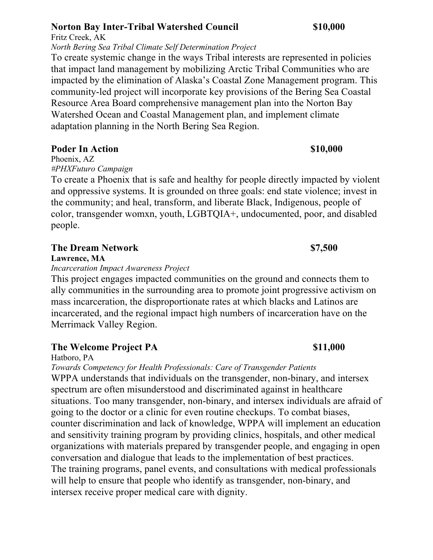## **Norton Bay Inter-Tribal Watershed Council \$10,000**

Fritz Creek, AK *North Bering Sea Tribal Climate Self Determination Project*

To create systemic change in the ways Tribal interests are represented in policies that impact land management by mobilizing Arctic Tribal Communities who are impacted by the elimination of Alaska's Coastal Zone Management program. This community-led project will incorporate key provisions of the Bering Sea Coastal Resource Area Board comprehensive management plan into the Norton Bay Watershed Ocean and Coastal Management plan, and implement climate adaptation planning in the North Bering Sea Region.

## **Poder In Action \$10,000 \$10,000 \$10,000 \$10.000 \$10.000 \$10.000 \$10.000 \$10.000 \$10.000 \$10.000 \$10.000 \$10.000 \$10.000 \$10.000 \$10.000 \$10.000 \$10.000 \$10.000 \$10.000 \$10.000 \$10.000 \$10.000 \$10.000 \$10.000 \$10.000 \$10.0**

Phoenix, AZ *#PHXFuturo Campaign*

To create a Phoenix that is safe and healthy for people directly impacted by violent and oppressive systems. It is grounded on three goals: end state violence; invest in the community; and heal, transform, and liberate Black, Indigenous, people of color, transgender womxn, youth, LGBTQIA+, undocumented, poor, and disabled people.

### **The Dream Network \$7,500**

**Lawrence, MA**

*Incarceration Impact Awareness Project*

This project engages impacted communities on the ground and connects them to ally communities in the surrounding area to promote joint progressive activism on mass incarceration, the disproportionate rates at which blacks and Latinos are incarcerated, and the regional impact high numbers of incarceration have on the Merrimack Valley Region.

## **The Welcome Project PA** \$11,000

Hatboro, PA

*Towards Competency for Health Professionals: Care of Transgender Patients* WPPA understands that individuals on the transgender, non-binary, and intersex spectrum are often misunderstood and discriminated against in healthcare situations. Too many transgender, non-binary, and intersex individuals are afraid of going to the doctor or a clinic for even routine checkups. To combat biases, counter discrimination and lack of knowledge, WPPA will implement an education and sensitivity training program by providing clinics, hospitals, and other medical organizations with materials prepared by transgender people, and engaging in open conversation and dialogue that leads to the implementation of best practices. The training programs, panel events, and consultations with medical professionals will help to ensure that people who identify as transgender, non-binary, and intersex receive proper medical care with dignity.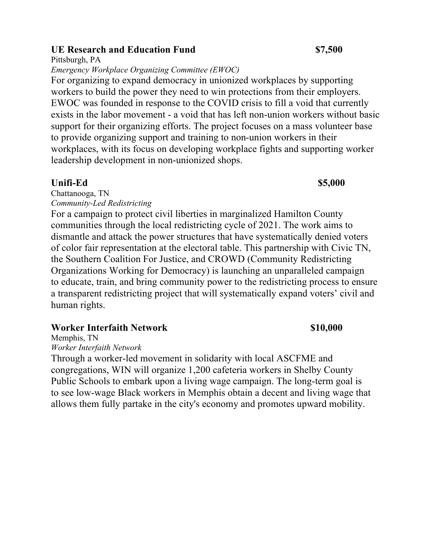### **UE Research and Education Fund \$7,500**

Pittsburgh, PA

*Emergency Workplace Organizing Committee (EWOC)*

For organizing to expand democracy in unionized workplaces by supporting workers to build the power they need to win protections from their employers. EWOC was founded in response to the COVID crisis to fill a void that currently exists in the labor movement - a void that has left non-union workers without basic support for their organizing efforts. The project focuses on a mass volunteer base to provide organizing support and training to non-union workers in their workplaces, with its focus on developing workplace fights and supporting worker leadership development in non-unionized shops.

### **Unifi-Ed \$5,000**

Chattanooga, TN *Community-Led Redistricting*

For a campaign to protect civil liberties in marginalized Hamilton County communities through the local redistricting cycle of 2021. The work aims to dismantle and attack the power structures that have systematically denied voters of color fair representation at the electoral table. This partnership with Civic TN, the Southern Coalition For Justice, and CROWD (Community Redistricting Organizations Working for Democracy) is launching an unparalleled campaign to educate, train, and bring community power to the redistricting process to ensure a transparent redistricting project that will systematically expand voters' civil and human rights.

## **Worker Interfaith Network \$10,000 \$10,000 \$10.000 \$10.000 \$10.000 \$10.000 \$10.000 \$10.000 \$10.000 \$10.000 \$10.000 \$10.000 \$10.000 \$10.000 \$10.000 \$10.000 \$10.000 \$10.000 \$10.000 \$10.000 \$10.000 \$10.000 \$10.000 \$10.000 \$10**

Memphis, TN *Worker Interfaith Network*

Through a worker-led movement in solidarity with local ASCFME and congregations, WIN will organize 1,200 cafeteria workers in Shelby County Public Schools to embark upon a living wage campaign. The long-term goal is to see low-wage Black workers in Memphis obtain a decent and living wage that allows them fully partake in the city's economy and promotes upward mobility.